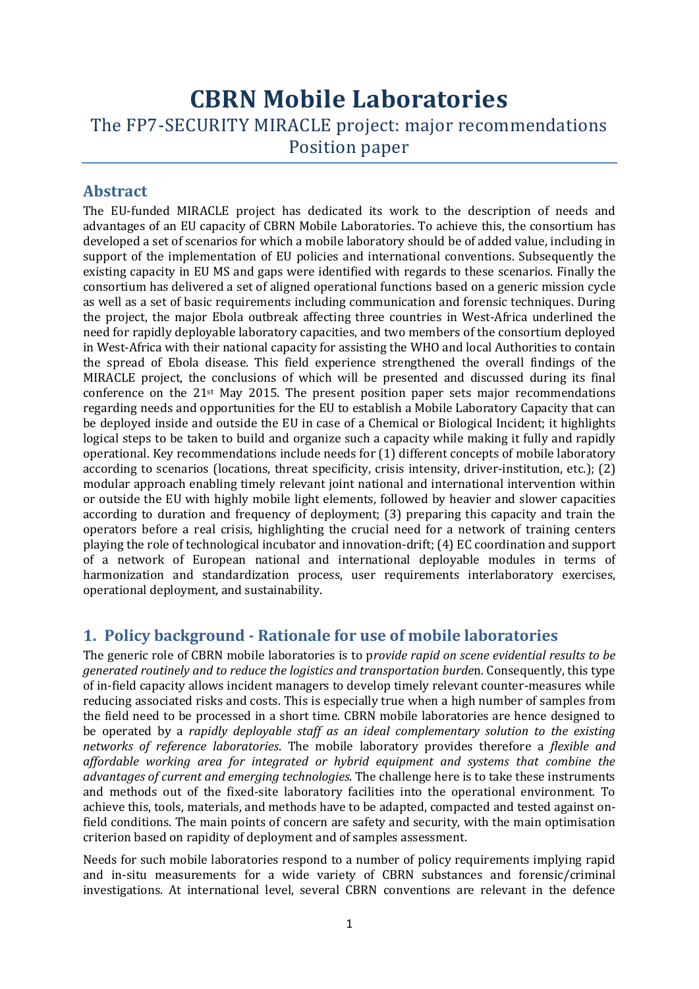## **CBRN Mobile Laboratories** The FP7-SECURITY MIRACLE project: major recommendations Position paper

## **Abstract**

The EU-funded MIRACLE project has dedicated its work to the description of needs and advantages of an EU capacity of CBRN Mobile Laboratories. To achieve this, the consortium has developed a set of scenarios for which a mobile laboratory should be of added value, including in support of the implementation of EU policies and international conventions. Subsequently the existing capacity in EU MS and gaps were identified with regards to these scenarios. Finally the consortium has delivered a set of aligned operational functions based on a generic mission cycle as well as a set of basic requirements including communication and forensic techniques. During the project, the major Ebola outbreak affecting three countries in West-Africa underlined the need for rapidly deployable laboratory capacities, and two members of the consortium deployed in West-Africa with their national capacity for assisting the WHO and local Authorities to contain the spread of Ebola disease. This field experience strengthened the overall findings of the MIRACLE project, the conclusions of which will be presented and discussed during its final conference on the  $21$ <sup>st</sup> May 2015. The present position paper sets major recommendations regarding needs and opportunities for the EU to establish a Mobile Laboratory Capacity that can be deployed inside and outside the EU in case of a Chemical or Biological Incident; it highlights logical steps to be taken to build and organize such a capacity while making it fully and rapidly operational. Key recommendations include needs for (1) different concepts of mobile laboratory according to scenarios (locations, threat specificity, crisis intensity, driver-institution, etc.); (2) modular approach enabling timely relevant joint national and international intervention within or outside the EU with highly mobile light elements, followed by heavier and slower capacities according to duration and frequency of deployment; (3) preparing this capacity and train the operators before a real crisis, highlighting the crucial need for a network of training centers playing the role of technological incubator and innovation-drift; (4) EC coordination and support of a network of European national and international deployable modules in terms of harmonization and standardization process, user requirements interlaboratory exercises, operational deployment, and sustainability.

## **1. Policy background - Rationale for use of mobile laboratories**

The generic role of CBRN mobile laboratories is to p*rovide rapid on scene evidential results to be generated routinely and to reduce the logistics and transportation burde*n. Consequently, this type of in-field capacity allows incident managers to develop timely relevant counter-measures while reducing associated risks and costs. This is especially true when a high number of samples from the field need to be processed in a short time. CBRN mobile laboratories are hence designed to be operated by a *rapidly deployable staff as an ideal complementary solution to the existing networks of reference laboratories*. The mobile laboratory provides therefore a *flexible and affordable working area for integrated or hybrid equipment and systems that combine the advantages of current and emerging technologies*. The challenge here is to take these instruments and methods out of the fixed-site laboratory facilities into the operational environment. To achieve this, tools, materials, and methods have to be adapted, compacted and tested against onfield conditions. The main points of concern are safety and security, with the main optimisation criterion based on rapidity of deployment and of samples assessment.

Needs for such mobile laboratories respond to a number of policy requirements implying rapid and in-situ measurements for a wide variety of CBRN substances and forensic/criminal investigations. At international level, several CBRN conventions are relevant in the defence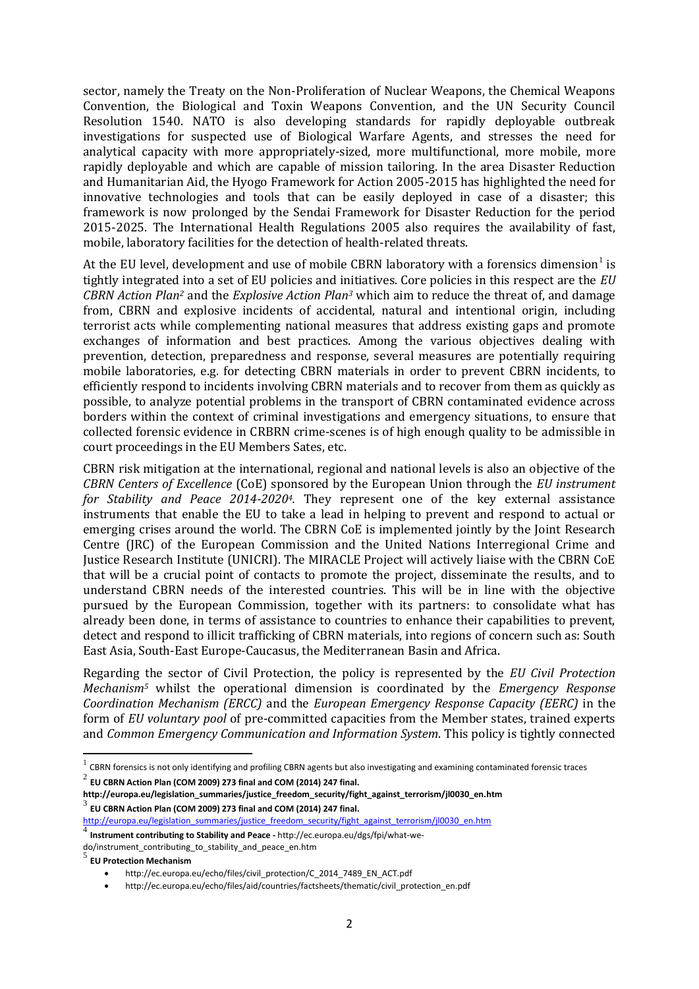sector, namely the Treaty on the Non-Proliferation of Nuclear Weapons, the Chemical Weapons Convention, the Biological and Toxin Weapons Convention, and the UN Security Council Resolution 1540. NATO is also developing standards for rapidly deployable outbreak investigations for suspected use of Biological Warfare Agents, and stresses the need for analytical capacity with more appropriately-sized, more multifunctional, more mobile, more rapidly deployable and which are capable of mission tailoring. In the area Disaster Reduction and Humanitarian Aid, the Hyogo Framework for Action 2005-2015 has highlighted the need for innovative technologies and tools that can be easily deployed in case of a disaster; this framework is now prolonged by the Sendai Framework for Disaster Reduction for the period 2015-2025. The International Health Regulations 2005 also requires the availability of fast, mobile, laboratory facilities for the detection of health-related threats.

At the EU level, development and use of mobile CBRN laboratory with a forensics dimension<sup>1</sup> is tightly integrated into a set of EU policies and initiatives. Core policies in this respect are the *EU CBRN Action Plan<sup>2</sup>* and the *Explosive Action Plan<sup>3</sup>* which aim to reduce the threat of, and damage from, CBRN and explosive incidents of accidental, natural and intentional origin, including terrorist acts while complementing national measures that address existing gaps and promote exchanges of information and best practices. Among the various objectives dealing with prevention, detection, preparedness and response, several measures are potentially requiring mobile laboratories, e.g. for detecting CBRN materials in order to prevent CBRN incidents, to efficiently respond to incidents involving CBRN materials and to recover from them as quickly as possible, to analyze potential problems in the transport of CBRN contaminated evidence across borders within the context of criminal investigations and emergency situations, to ensure that collected forensic evidence in CRBRN crime-scenes is of high enough quality to be admissible in court proceedings in the EU Members Sates, etc.

CBRN risk mitigation at the international, regional and national levels is also an objective of the *CBRN Centers of Excellence* (CoE) sponsored by the European Union through the *EU instrument for Stability and Peace 2014-20204.* They represent one of the key external assistance instruments that enable the EU to take a lead in helping to prevent and respond to actual or emerging crises around the world. The CBRN CoE is implemented jointly by the Joint Research Centre (JRC) of the European Commission and the United Nations Interregional Crime and Justice Research Institute (UNICRI). The MIRACLE Project will actively liaise with the CBRN CoE that will be a crucial point of contacts to promote the project, disseminate the results, and to understand CBRN needs of the interested countries. This will be in line with the objective pursued by the European Commission, together with its partners: to consolidate what has already been done, in terms of assistance to countries to enhance their capabilities to prevent, detect and respond to illicit trafficking of CBRN materials, into regions of concern such as: South East Asia, South-East Europe-Caucasus, the Mediterranean Basin and Africa.

Regarding the sector of Civil Protection, the policy is represented by the *EU Civil Protection Mechanism<sup>5</sup>* whilst the operational dimension is coordinated by the *Emergency Response Coordination Mechanism (ERCC)* and the *European Emergency Response Capacity (EERC)* in the form of *EU voluntary pool* of pre-committed capacities from the Member states, trained experts and *Common Emergency Communication and Information System*. This policy is tightly connected

 $^2$  EU CBRN Action Plan (COM 2009) 273 final and COM (2014) 247 final.

 $\overline{a}$ 

 $^1$  CBRN forensics is not only identifying and profiling CBRN agents but also investigating and examining contaminated forensic traces

**http://europa.eu/legislation\_summaries/justice\_freedom\_security/fight\_against\_terrorism/jl0030\_en.htm**  $^3$  EU CBRN Action Plan (COM 2009) 273 final and COM (2014) 247 final.

[http://europa.eu/legislation\\_summaries/justice\\_freedom\\_security/fight\\_against\\_terrorism/jl0030\\_en.htm](http://europa.eu/legislation_summaries/justice_freedom_security/fight_against_terrorism/jl0030_en.htm) 4

**Instrument contributing to Stability and Peace -** http://ec.europa.eu/dgs/fpi/what-wedo/instrument\_contributing\_to\_stability\_and\_peace\_en.htm

<sup>5</sup> **EU Protection Mechanism**

http://ec.europa.eu/echo/files/civil\_protection/C\_2014\_7489\_EN\_ACT.pdf

http://ec.europa.eu/echo/files/aid/countries/factsheets/thematic/civil\_protection\_en.pdf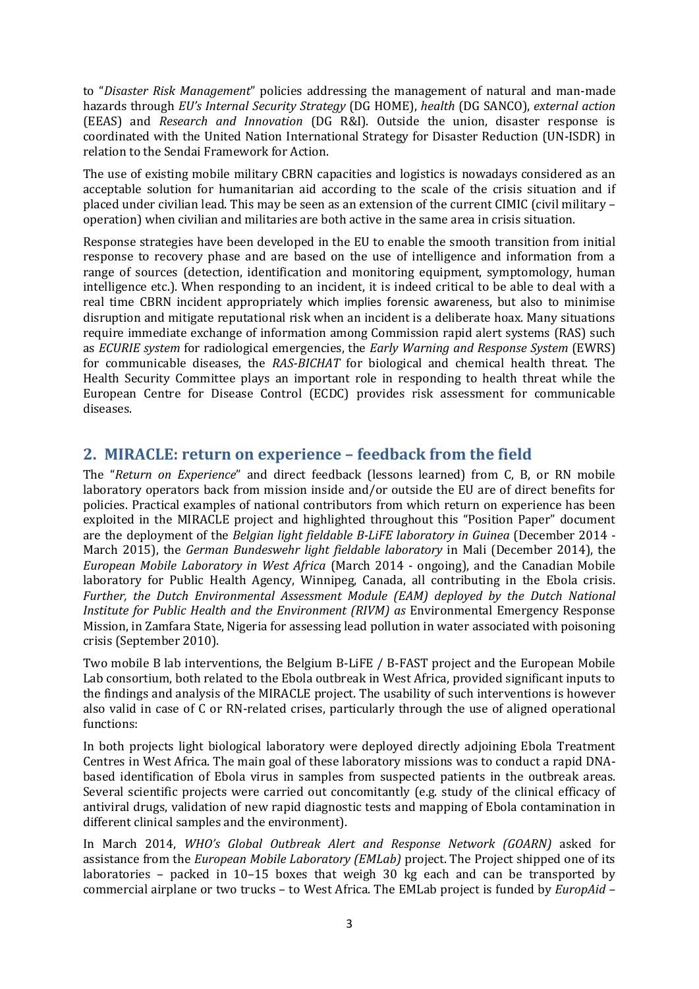to "*Disaster Risk Management*" policies addressing the management of natural and man-made hazards through *EU's Internal Security Strategy* (DG HOME), *health* (DG SANCO), *external action* (EEAS) and *Research and Innovation* (DG R&I). Outside the union, disaster response is coordinated with the United Nation International Strategy for Disaster Reduction (UN-ISDR) in relation to the Sendai Framework for Action.

The use of existing mobile military CBRN capacities and logistics is nowadays considered as an acceptable solution for humanitarian aid according to the scale of the crisis situation and if placed under civilian lead. This may be seen as an extension of the current CIMIC (civil military – operation) when civilian and militaries are both active in the same area in crisis situation.

Response strategies have been developed in the EU to enable the smooth transition from initial response to recovery phase and are based on the use of intelligence and information from a range of sources (detection, identification and monitoring equipment, symptomology, human intelligence etc.). When responding to an incident, it is indeed critical to be able to deal with a real time CBRN incident appropriately which implies forensic awareness, but also to minimise disruption and mitigate reputational risk when an incident is a deliberate hoax. Many situations require immediate exchange of information among Commission rapid alert systems (RAS) such as *ECURIE system* for radiological emergencies, the *Early Warning and Response System* (EWRS) for communicable diseases, the *RAS-BICHAT* for biological and chemical health threat. The Health Security Committee plays an important role in responding to health threat while the European Centre for Disease Control (ECDC) provides risk assessment for communicable diseases.

## **2. MIRACLE: return on experience – feedback from the field**

The "*Return on Experience*" and direct feedback (lessons learned) from C, B, or RN mobile laboratory operators back from mission inside and/or outside the EU are of direct benefits for policies. Practical examples of national contributors from which return on experience has been exploited in the MIRACLE project and highlighted throughout this "Position Paper" document are the deployment of the *Belgian light fieldable B-LiFE laboratory in Guinea* (December 2014 - March 2015), the *German Bundeswehr light fieldable laboratory* in Mali (December 2014), the *European Mobile Laboratory in West Africa* (March 2014 - ongoing), and the Canadian Mobile laboratory for Public Health Agency, Winnipeg, Canada, all contributing in the Ebola crisis. *Further, the Dutch Environmental Assessment Module (EAM) deployed by the Dutch National Institute for Public Health and the Environment (RIVM) as* Environmental Emergency Response Mission, in Zamfara State, Nigeria for assessing lead pollution in water associated with poisoning crisis (September 2010).

Two mobile B lab interventions, the Belgium B-LiFE / B-FAST project and the European Mobile Lab consortium, both related to the Ebola outbreak in West Africa, provided significant inputs to the findings and analysis of the MIRACLE project. The usability of such interventions is however also valid in case of C or RN-related crises, particularly through the use of aligned operational functions:

In both projects light biological laboratory were deployed directly adjoining Ebola Treatment Centres in West Africa. The main goal of these laboratory missions was to conduct a rapid DNAbased identification of Ebola virus in samples from suspected patients in the outbreak areas. Several scientific projects were carried out concomitantly (e.g. study of the clinical efficacy of antiviral drugs, validation of new rapid diagnostic tests and mapping of Ebola contamination in different clinical samples and the environment).

In March 2014, *WHO's Global Outbreak Alert and Response Network (GOARN)* asked for assistance from the *European Mobile Laboratory (EMLab)* project. The Project shipped one of its laboratories – packed in 10–15 boxes that weigh 30 kg each and can be transported by commercial airplane or two trucks – to West Africa. The EMLab project is funded by *EuropAid –*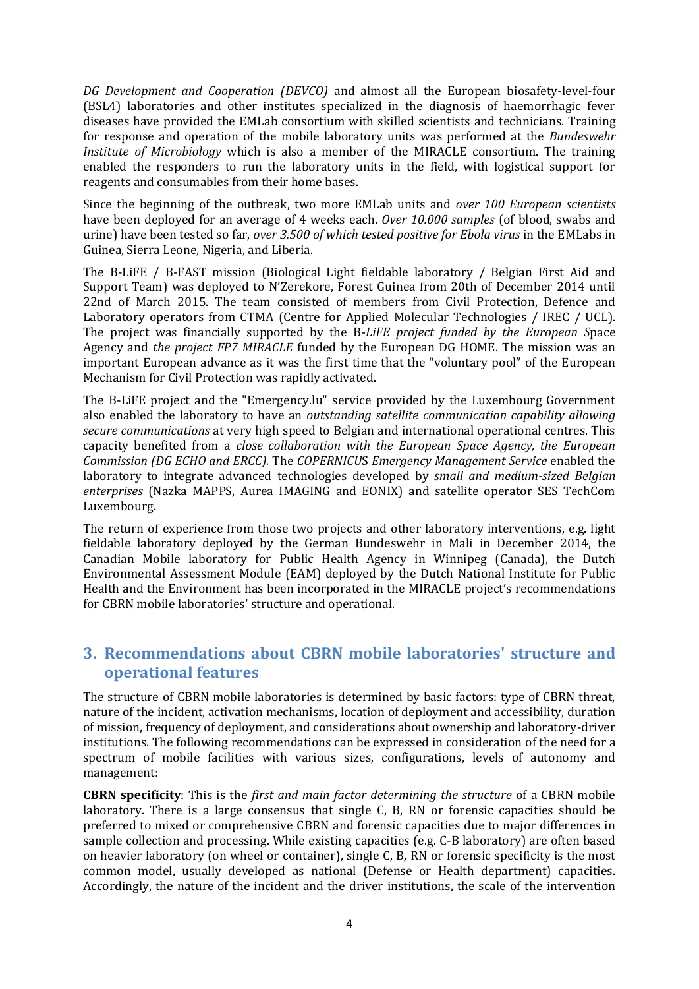*DG Development and Cooperation (DEVCO)* and almost all the European biosafety-level-four (BSL4) laboratories and other institutes specialized in the diagnosis of haemorrhagic fever diseases have provided the EMLab consortium with skilled scientists and technicians. Training for response and operation of the mobile laboratory units was performed at the *Bundeswehr Institute of Microbiology* which is also a member of the MIRACLE consortium. The training enabled the responders to run the laboratory units in the field, with logistical support for reagents and consumables from their home bases.

Since the beginning of the outbreak, two more EMLab units and *over 100 European scientists* have been deployed for an average of 4 weeks each. *Over 10.000 samples* (of blood, swabs and urine) have been tested so far, *over 3.500 of which tested positive for Ebola virus* in the EMLabs in Guinea, Sierra Leone, Nigeria, and Liberia.

The B-LiFE / B-FAST mission (Biological Light fieldable laboratory / Belgian First Aid and Support Team) was deployed to N'Zerekore, Forest Guinea from 20th of December 2014 until 22nd of March 2015. The team consisted of members from Civil Protection, Defence and Laboratory operators from CTMA (Centre for Applied Molecular Technologies / IREC / UCL). The project was financially supported by the B*-LiFE project funded by the European S*pace Agency and *the project FP7 MIRACLE* funded by the European DG HOME. The mission was an important European advance as it was the first time that the "voluntary pool" of the European Mechanism for Civil Protection was rapidly activated.

The B-LiFE project and the "Emergency.lu" service provided by the Luxembourg Government also enabled the laboratory to have an *outstanding satellite communication capability allowing secure communications* at very high speed to Belgian and international operational centres. This capacity benefited from a *close collaboration with the European Space Agency, the European Commission (DG ECHO and ERCC).* The *COPERNICU*S *Emergency Management Service* enabled the laboratory to integrate advanced technologies developed by *small and medium-sized Belgian enterprises* (Nazka MAPPS, Aurea IMAGING and EONIX) and satellite operator SES TechCom Luxembourg.

The return of experience from those two projects and other laboratory interventions, e.g. light fieldable laboratory deployed by the German Bundeswehr in Mali in December 2014, the Canadian Mobile laboratory for Public Health Agency in Winnipeg (Canada), the Dutch Environmental Assessment Module (EAM) deployed by the Dutch National Institute for Public Health and the Environment has been incorporated in the MIRACLE project's recommendations for CBRN mobile laboratories' structure and operational.

## **3. Recommendations about CBRN mobile laboratories' structure and operational features**

The structure of CBRN mobile laboratories is determined by basic factors: type of CBRN threat, nature of the incident, activation mechanisms, location of deployment and accessibility, duration of mission, frequency of deployment, and considerations about ownership and laboratory-driver institutions. The following recommendations can be expressed in consideration of the need for a spectrum of mobile facilities with various sizes, configurations, levels of autonomy and management:

**CBRN specificity**: This is the *first and main factor determining the structure* of a CBRN mobile laboratory. There is a large consensus that single C, B, RN or forensic capacities should be preferred to mixed or comprehensive CBRN and forensic capacities due to major differences in sample collection and processing. While existing capacities (e.g. C-B laboratory) are often based on heavier laboratory (on wheel or container), single C, B, RN or forensic specificity is the most common model, usually developed as national (Defense or Health department) capacities. Accordingly, the nature of the incident and the driver institutions, the scale of the intervention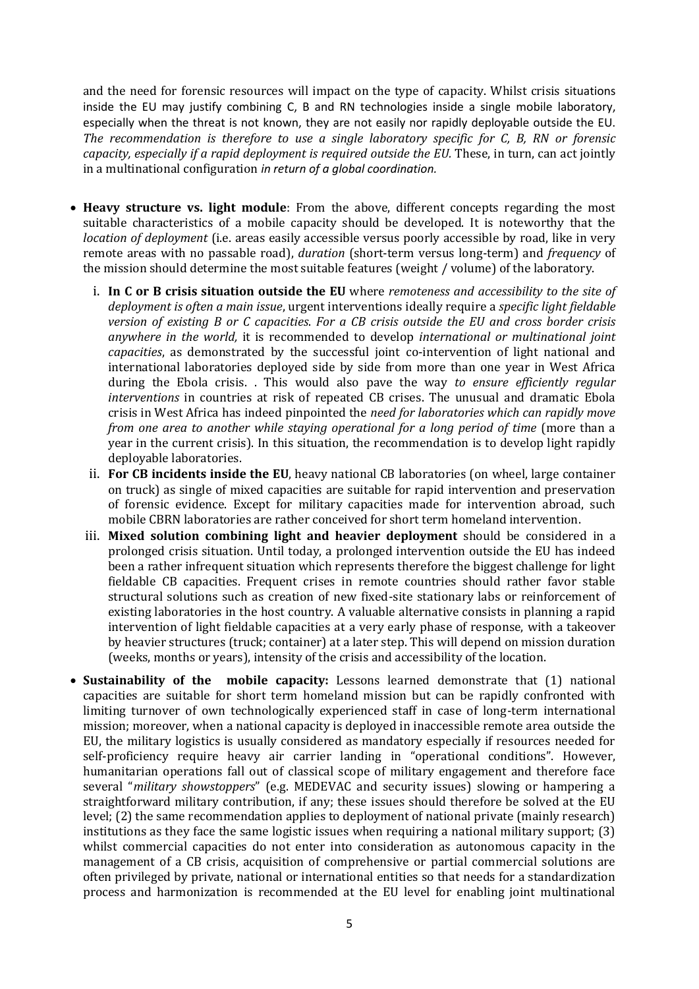and the need for forensic resources will impact on the type of capacity. Whilst crisis situations inside the EU may justify combining C, B and RN technologies inside a single mobile laboratory, especially when the threat is not known, they are not easily nor rapidly deployable outside the EU. *The recommendation is therefore to use a single laboratory specific for C, B, RN or forensic capacity, especially if a rapid deployment is required outside the EU.* These, in turn, can act jointly in a multinational configuration *in return of a global coordination.*

- **Heavy structure vs. light module**: From the above, different concepts regarding the most suitable characteristics of a mobile capacity should be developed. It is noteworthy that the *location of deployment* (i.e. areas easily accessible versus poorly accessible by road, like in very remote areas with no passable road), *duration* (short-term versus long-term) and *frequency* of the mission should determine the most suitable features (weight / volume) of the laboratory.
	- i. **In C or B crisis situation outside the EU** where *remoteness and accessibility to the site of deployment is often a main issue*, urgent interventions ideally require a *specific light fieldable version of existing B or C capacities*. *For a CB crisis outside the EU and cross border crisis anywhere in the world,* it is recommended to develop *international or multinational joint capacities*, as demonstrated by the successful joint co-intervention of light national and international laboratories deployed side by side from more than one year in West Africa during the Ebola crisis. . This would also pave the way *to ensure efficiently regular interventions* in countries at risk of repeated CB crises. The unusual and dramatic Ebola crisis in West Africa has indeed pinpointed the *need for laboratories which can rapidly move from one area to another while staying operational for a long period of time* (more than a year in the current crisis). In this situation, the recommendation is to develop light rapidly deployable laboratories.
	- ii. **For CB incidents inside the EU**, heavy national CB laboratories (on wheel, large container on truck) as single of mixed capacities are suitable for rapid intervention and preservation of forensic evidence. Except for military capacities made for intervention abroad, such mobile CBRN laboratories are rather conceived for short term homeland intervention.
	- iii. **Mixed solution combining light and heavier deployment** should be considered in a prolonged crisis situation. Until today, a prolonged intervention outside the EU has indeed been a rather infrequent situation which represents therefore the biggest challenge for light fieldable CB capacities. Frequent crises in remote countries should rather favor stable structural solutions such as creation of new fixed-site stationary labs or reinforcement of existing laboratories in the host country. A valuable alternative consists in planning a rapid intervention of light fieldable capacities at a very early phase of response, with a takeover by heavier structures (truck; container) at a later step. This will depend on mission duration (weeks, months or years), intensity of the crisis and accessibility of the location.
- **Sustainability of the mobile capacity:** Lessons learned demonstrate that (1) national capacities are suitable for short term homeland mission but can be rapidly confronted with limiting turnover of own technologically experienced staff in case of long-term international mission; moreover, when a national capacity is deployed in inaccessible remote area outside the EU, the military logistics is usually considered as mandatory especially if resources needed for self-proficiency require heavy air carrier landing in "operational conditions". However, humanitarian operations fall out of classical scope of military engagement and therefore face several "*military showstoppers*" (e.g. MEDEVAC and security issues) slowing or hampering a straightforward military contribution, if any; these issues should therefore be solved at the EU level; (2) the same recommendation applies to deployment of national private (mainly research) institutions as they face the same logistic issues when requiring a national military support; (3) whilst commercial capacities do not enter into consideration as autonomous capacity in the management of a CB crisis, acquisition of comprehensive or partial commercial solutions are often privileged by private, national or international entities so that needs for a standardization process and harmonization is recommended at the EU level for enabling joint multinational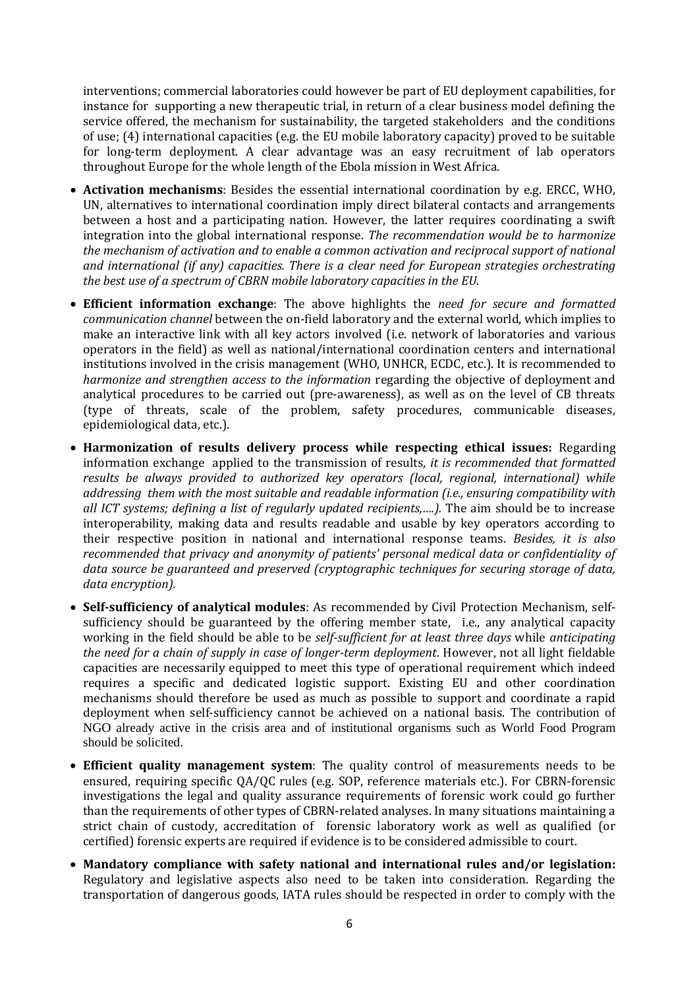interventions; commercial laboratories could however be part of EU deployment capabilities, for instance for supporting a new therapeutic trial, in return of a clear business model defining the service offered, the mechanism for sustainability, the targeted stakeholders and the conditions of use; (4) international capacities (e.g. the EU mobile laboratory capacity) proved to be suitable for long-term deployment. A clear advantage was an easy recruitment of lab operators throughout Europe for the whole length of the Ebola mission in West Africa.

- **Activation mechanisms**: Besides the essential international coordination by e.g. ERCC, WHO, UN, alternatives to international coordination imply direct bilateral contacts and arrangements between a host and a participating nation. However, the latter requires coordinating a swift integration into the global international response. *The recommendation would be to harmonize the mechanism of activation and to enable a common activation and reciprocal support of national and international (if any) capacities. There is a clear need for European strategies orchestrating the best use of a spectrum of CBRN mobile laboratory capacities in the EU*.
- **Efficient information exchange**: The above highlights the *need for secure and formatted communication channel* between the on-field laboratory and the external world, which implies to make an interactive link with all key actors involved (i.e. network of laboratories and various operators in the field) as well as national/international coordination centers and international institutions involved in the crisis management (WHO, UNHCR, ECDC, etc.). It is recommended to *harmonize and strengthen access to the information* regarding the objective of deployment and analytical procedures to be carried out (pre-awareness), as well as on the level of CB threats (type of threats, scale of the problem, safety procedures, communicable diseases, epidemiological data, etc.).
- **Harmonization of results delivery process while respecting ethical issues:** Regarding information exchange applied to the transmission of results*, it is recommended that formatted results be always provided to authorized key operators (local, regional, international) while addressing them with the most suitable and readable information (i.e., ensuring compatibility with all ICT systems; defining a list of regularly updated recipients,….).* The aim should be to increase interoperability, making data and results readable and usable by key operators according to their respective position in national and international response teams. *Besides, it is also recommended that privacy and anonymity of patients' personal medical data or confidentiality of data source be guaranteed and preserved (cryptographic techniques for securing storage of data, data encryption).*
- **Self-sufficiency of analytical modules**: As recommended by Civil Protection Mechanism, selfsufficiency should be guaranteed by the offering member state, i.e., any analytical capacity working in the field should be able to be *self-sufficient for at least three days* while *anticipating the need for a chain of supply in case of longer-term deployment*. However, not all light fieldable capacities are necessarily equipped to meet this type of operational requirement which indeed requires a specific and dedicated logistic support. Existing EU and other coordination mechanisms should therefore be used as much as possible to support and coordinate a rapid deployment when self-sufficiency cannot be achieved on a national basis. The contribution of NGO already active in the crisis area and of institutional organisms such as World Food Program should be solicited.
- **Efficient quality management system**: The quality control of measurements needs to be ensured, requiring specific QA/QC rules (e.g. SOP, reference materials etc.). For CBRN-forensic investigations the legal and quality assurance requirements of forensic work could go further than the requirements of other types of CBRN-related analyses. In many situations maintaining a strict chain of custody, accreditation of forensic laboratory work as well as qualified (or certified) forensic experts are required if evidence is to be considered admissible to court.
- **Mandatory compliance with safety national and international rules and/or legislation:** Regulatory and legislative aspects also need to be taken into consideration. Regarding the transportation of dangerous goods, IATA rules should be respected in order to comply with the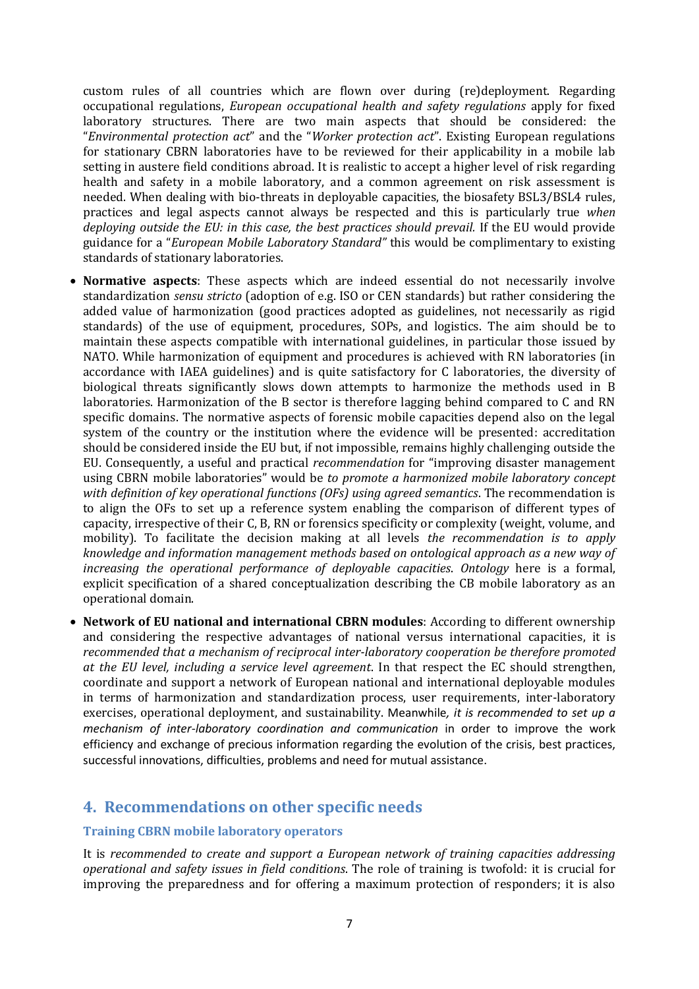custom rules of all countries which are flown over during (re)deployment. Regarding occupational regulations, *European occupational health and safety regulations* apply for fixed laboratory structures. There are two main aspects that should be considered: the "*Environmental protection act*" and the "*Worker protection act*". Existing European regulations for stationary CBRN laboratories have to be reviewed for their applicability in a mobile lab setting in austere field conditions abroad. It is realistic to accept a higher level of risk regarding health and safety in a mobile laboratory, and a common agreement on risk assessment is needed. When dealing with bio-threats in deployable capacities, the biosafety BSL3/BSL4 rules, practices and legal aspects cannot always be respected and this is particularly true *when deploying outside the EU: in this case, the best practices should prevail.* If the EU would provide guidance for a "*European Mobile Laboratory Standard"* this would be complimentary to existing standards of stationary laboratories.

- **Normative aspects**: These aspects which are indeed essential do not necessarily involve standardization *sensu stricto* (adoption of e.g. ISO or CEN standards) but rather considering the added value of harmonization (good practices adopted as guidelines, not necessarily as rigid standards) of the use of equipment, procedures, SOPs, and logistics. The aim should be to maintain these aspects compatible with international guidelines, in particular those issued by NATO. While harmonization of equipment and procedures is achieved with RN laboratories (in accordance with IAEA guidelines) and is quite satisfactory for C laboratories, the diversity of biological threats significantly slows down attempts to harmonize the methods used in B laboratories. Harmonization of the B sector is therefore lagging behind compared to C and RN specific domains. The normative aspects of forensic mobile capacities depend also on the legal system of the country or the institution where the evidence will be presented: accreditation should be considered inside the EU but, if not impossible, remains highly challenging outside the EU. Consequently, a useful and practical *recommendation* for "improving disaster management using CBRN mobile laboratories" would be *to promote a harmonized mobile laboratory concept with definition of key operational functions (OFs) using agreed semantics*. The recommendation is to align the OFs to set up a reference system enabling the comparison of different types of capacity, irrespective of their C, B, RN or forensics specificity or complexity (weight, volume, and mobility). To facilitate the decision making at all levels *the recommendation is to apply knowledge and information management methods based on ontological approach as a new way of increasing the operational performance of deployable capacities*. *Ontology* here is a formal, explicit specification of a shared conceptualization describing the CB mobile laboratory as an operational domain.
- **Network of EU national and international CBRN modules**: According to different ownership and considering the respective advantages of national versus international capacities, it is *recommended that a mechanism of reciprocal inter-laboratory cooperation be therefore promoted at the EU level, including a service level agreement*. In that respect the EC should strengthen, coordinate and support a network of European national and international deployable modules in terms of harmonization and standardization process, user requirements, inter-laboratory exercises, operational deployment, and sustainability. Meanwhile*, it is recommended to set up a mechanism of inter-laboratory coordination and communication* in order to improve the work efficiency and exchange of precious information regarding the evolution of the crisis, best practices, successful innovations, difficulties, problems and need for mutual assistance.

### **4. Recommendations on other specific needs**

#### **Training CBRN mobile laboratory operators**

It is *recommended to create and support a European network of training capacities addressing operational and safety issues in field conditions*. The role of training is twofold: it is crucial for improving the preparedness and for offering a maximum protection of responders; it is also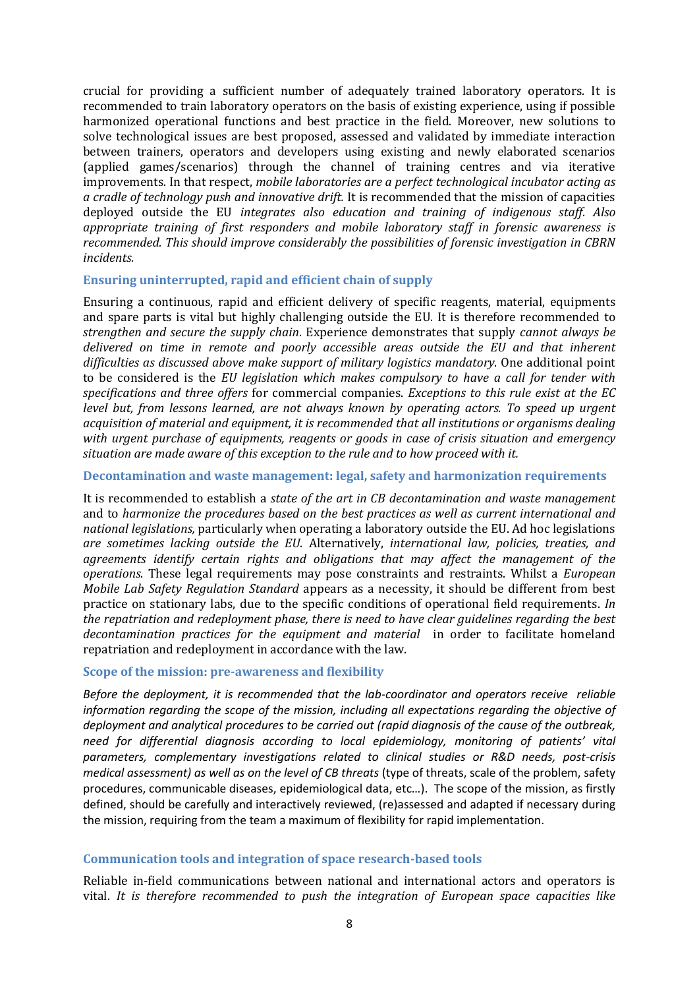crucial for providing a sufficient number of adequately trained laboratory operators. It is recommended to train laboratory operators on the basis of existing experience, using if possible harmonized operational functions and best practice in the field. Moreover, new solutions to solve technological issues are best proposed, assessed and validated by immediate interaction between trainers, operators and developers using existing and newly elaborated scenarios (applied games/scenarios) through the channel of training centres and via iterative improvements. In that respect, *mobile laboratories are a perfect technological incubator acting as a cradle of technology push and innovative drift.* It is recommended that the mission of capacities deployed outside the EU *integrates also education and training of indigenous staff*. *Also appropriate training of first responders and mobile laboratory staff in forensic awareness is recommended. This should improve considerably the possibilities of forensic investigation in CBRN incidents.*

#### **Ensuring uninterrupted, rapid and efficient chain of supply**

Ensuring a continuous, rapid and efficient delivery of specific reagents, material, equipments and spare parts is vital but highly challenging outside the EU. It is therefore recommended to *strengthen and secure the supply chain*. Experience demonstrates that supply *cannot always be delivered on time in remote and poorly accessible areas outside the EU and that inherent difficulties as discussed above make support of military logistics mandatory*. One additional point to be considered is the *EU legislation which makes compulsory to have a call for tender with specifications and three offers* for commercial companies. *Exceptions to this rule exist at the EC level but, from lessons learned, are not always known by operating actors. To speed up urgent acquisition of material and equipment, it is recommended that all institutions or organisms dealing with urgent purchase of equipments, reagents or goods in case of crisis situation and emergency situation are made aware of this exception to the rule and to how proceed with it.*

#### **Decontamination and waste management: legal, safety and harmonization requirements**

It is recommended to establish a *state of the art in CB decontamination and waste management* and to *harmonize the procedures based on the best practices as well as current international and national legislations,* particularly when operating a laboratory outside the EU. Ad hoc legislations *are sometimes lacking outside the EU*. Alternatively, *international law, policies, treaties, and agreements identify certain rights and obligations that may affect the management of the operations*. These legal requirements may pose constraints and restraints. Whilst a *European Mobile Lab Safety Regulation Standard* appears as a necessity, it should be different from best practice on stationary labs, due to the specific conditions of operational field requirements. *In the repatriation and redeployment phase, there is need to have clear guidelines regarding the best decontamination practices for the equipment and material* in order to facilitate homeland repatriation and redeployment in accordance with the law.

#### **Scope of the mission: pre-awareness and flexibility**

*Before the deployment, it is recommended that the lab-coordinator and operators receive reliable information regarding the scope of the mission, including all expectations regarding the objective of deployment and analytical procedures to be carried out (rapid diagnosis of the cause of the outbreak, need for differential diagnosis according to local epidemiology, monitoring of patients' vital parameters, complementary investigations related to clinical studies or R&D needs, post-crisis medical assessment) as well as on the level of CB threats* (type of threats, scale of the problem, safety procedures, communicable diseases, epidemiological data, etc…). The scope of the mission, as firstly defined, should be carefully and interactively reviewed, (re)assessed and adapted if necessary during the mission, requiring from the team a maximum of flexibility for rapid implementation.

#### **Communication tools and integration of space research-based tools**

Reliable in-field communications between national and international actors and operators is vital. *It is therefore recommended to push the integration of European space capacities like*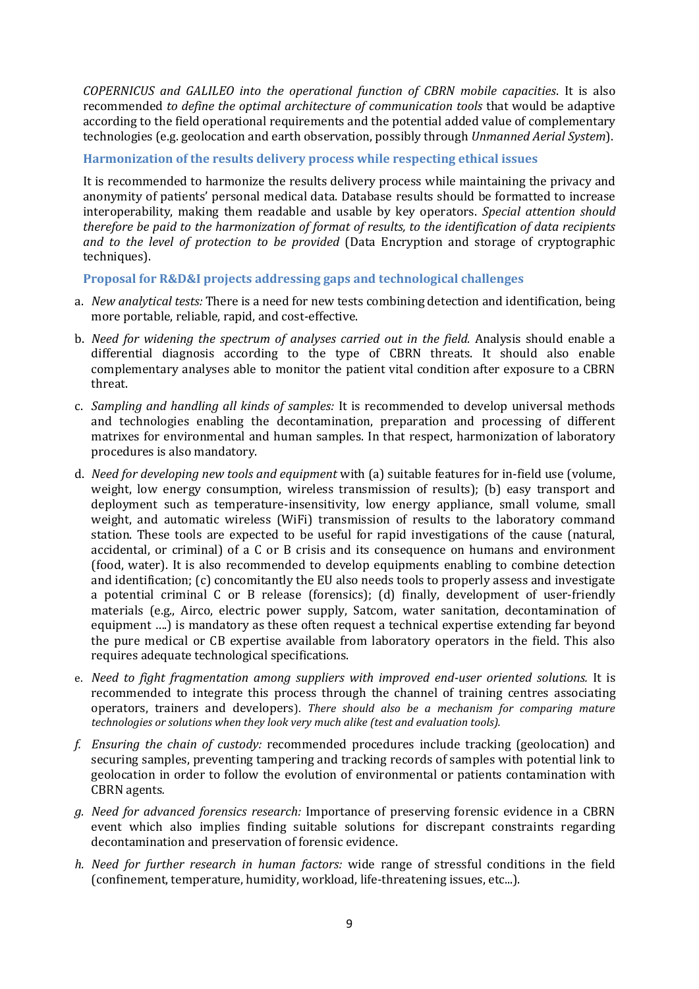*COPERNICUS and GALILEO into the operational function of CBRN mobile capacities*. It is also recommended *to define the optimal architecture of communication tools* that would be adaptive according to the field operational requirements and the potential added value of complementary technologies (e.g. geolocation and earth observation, possibly through *Unmanned Aerial System*).

**Harmonization of the results delivery process while respecting ethical issues** 

It is recommended to harmonize the results delivery process while maintaining the privacy and anonymity of patients' personal medical data. Database results should be formatted to increase interoperability, making them readable and usable by key operators. *Special attention should therefore be paid to the harmonization of format of results, to the identification of data recipients and to the level of protection to be provided* (Data Encryption and storage of cryptographic techniques).

**Proposal for R&D&I projects addressing gaps and technological challenges** 

- a. *New analytical tests:* There is a need for new tests combining detection and identification, being more portable, reliable, rapid, and cost-effective.
- b. *Need for widening the spectrum of analyses carried out in the field.* Analysis should enable a differential diagnosis according to the type of CBRN threats. It should also enable complementary analyses able to monitor the patient vital condition after exposure to a CBRN threat.
- c. *Sampling and handling all kinds of samples:* It is recommended to develop universal methods and technologies enabling the decontamination, preparation and processing of different matrixes for environmental and human samples. In that respect, harmonization of laboratory procedures is also mandatory.
- d. *Need for developing new tools and equipment* with (a) suitable features for in-field use (volume, weight, low energy consumption, wireless transmission of results); (b) easy transport and deployment such as temperature-insensitivity, low energy appliance, small volume, small weight, and automatic wireless (WiFi) transmission of results to the laboratory command station. These tools are expected to be useful for rapid investigations of the cause (natural, accidental, or criminal) of a C or B crisis and its consequence on humans and environment (food, water). It is also recommended to develop equipments enabling to combine detection and identification; (c) concomitantly the EU also needs tools to properly assess and investigate a potential criminal C or B release (forensics); (d) finally, development of user-friendly materials (e.g., Airco, electric power supply, Satcom, water sanitation, decontamination of equipment ….) is mandatory as these often request a technical expertise extending far beyond the pure medical or CB expertise available from laboratory operators in the field. This also requires adequate technological specifications.
- e. *Need to fight fragmentation among suppliers with improved end-user oriented solutions.* It is recommended to integrate this process through the channel of training centres associating operators, trainers and developers). *There should also be a mechanism for comparing mature technologies or solutions when they look very much alike (test and evaluation tools).*
- *f. Ensuring the chain of custody:* recommended procedures include tracking (geolocation) and securing samples, preventing tampering and tracking records of samples with potential link to geolocation in order to follow the evolution of environmental or patients contamination with CBRN agents*.*
- *g. Need for advanced forensics research:* Importance of preserving forensic evidence in a CBRN event which also implies finding suitable solutions for discrepant constraints regarding decontamination and preservation of forensic evidence.
- *h. Need for further research in human factors:* wide range of stressful conditions in the field (confinement, temperature, humidity, workload, life-threatening issues, etc...).